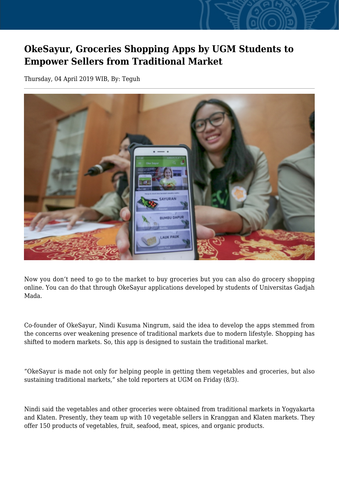## **OkeSayur, Groceries Shopping Apps by UGM Students to Empower Sellers from Traditional Market**

Thursday, 04 April 2019 WIB, By: Teguh



Now you don't need to go to the market to buy groceries but you can also do grocery shopping online. You can do that through OkeSayur applications developed by students of Universitas Gadjah Mada.

Co-founder of OkeSayur, Nindi Kusuma Ningrum, said the idea to develop the apps stemmed from the concerns over weakening presence of traditional markets due to modern lifestyle. Shopping has shifted to modern markets. So, this app is designed to sustain the traditional market.

"OkeSayur is made not only for helping people in getting them vegetables and groceries, but also sustaining traditional markets," she told reporters at UGM on Friday (8/3).

Nindi said the vegetables and other groceries were obtained from traditional markets in Yogyakarta and Klaten. Presently, they team up with 10 vegetable sellers in Kranggan and Klaten markets. They offer 150 products of vegetables, fruit, seafood, meat, spices, and organic products.